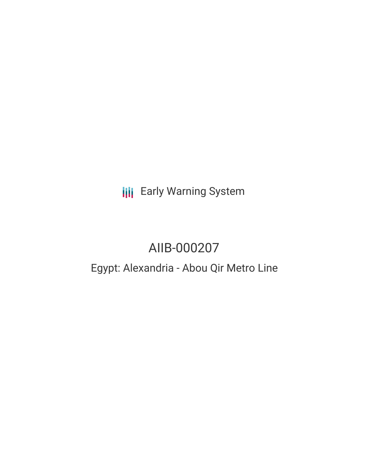**III** Early Warning System

# AIIB-000207

# Egypt: Alexandria - Abou Qir Metro Line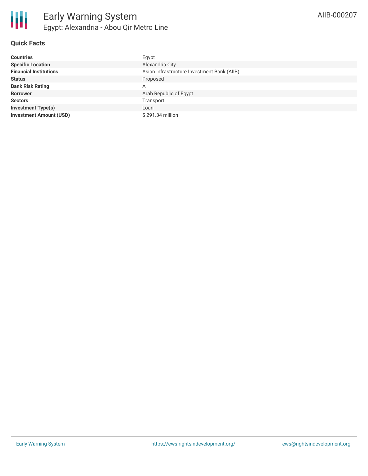### **Quick Facts**

| <b>Countries</b>               | Egypt                                       |
|--------------------------------|---------------------------------------------|
| <b>Specific Location</b>       | Alexandria City                             |
| <b>Financial Institutions</b>  | Asian Infrastructure Investment Bank (AIIB) |
| <b>Status</b>                  | Proposed                                    |
| <b>Bank Risk Rating</b>        | A                                           |
| <b>Borrower</b>                | Arab Republic of Egypt                      |
| <b>Sectors</b>                 | Transport                                   |
| <b>Investment Type(s)</b>      | Loan                                        |
| <b>Investment Amount (USD)</b> | \$291.34 million                            |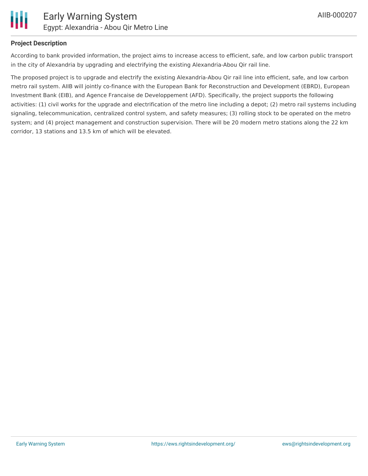

### **Project Description**

According to bank provided information, the project aims to increase access to efficient, safe, and low carbon public transport in the city of Alexandria by upgrading and electrifying the existing Alexandria-Abou Qir rail line.

The proposed project is to upgrade and electrify the existing Alexandria-Abou Qir rail line into efficient, safe, and low carbon metro rail system. AIIB will jointly co-finance with the European Bank for Reconstruction and Development (EBRD), European Investment Bank (EIB), and Agence Francaise de Developpement (AFD). Specifically, the project supports the following activities: (1) civil works for the upgrade and electrification of the metro line including a depot; (2) metro rail systems including signaling, telecommunication, centralized control system, and safety measures; (3) rolling stock to be operated on the metro system; and (4) project management and construction supervision. There will be 20 modern metro stations along the 22 km corridor, 13 stations and 13.5 km of which will be elevated.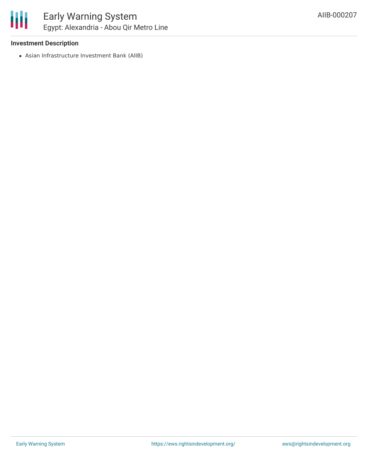### **Investment Description**

Asian Infrastructure Investment Bank (AIIB)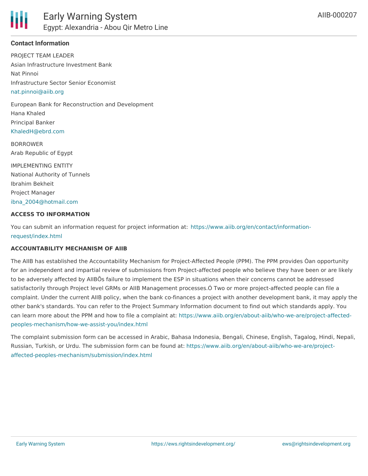

### **Contact Information**

PROJECT TEAM LEADER Asian Infrastructure Investment Bank Nat Pinnoi Infrastructure Sector Senior Economist [nat.pinnoi@aiib.org](mailto:nat.pinnoi@aiib.org)

European Bank for Reconstruction and Development Hana Khaled Principal Banker [KhaledH@ebrd.com](mailto:KhaledH@ebrd.com)

BORROWER Arab Republic of Egypt

IMPLEMENTING ENTITY National Authority of Tunnels Ibrahim Bekheit Project Manager [ibna\\_2004@hotmail.com](mailto:ibna_2004@hotmail.com)

#### **ACCESS TO INFORMATION**

You can submit an information request for project information at: [https://www.aiib.org/en/contact/information](https://www.aiib.org/en/contact/information-request/index.html)request/index.html

#### **ACCOUNTABILITY MECHANISM OF AIIB**

The AIIB has established the Accountability Mechanism for Project-Affected People (PPM). The PPM provides Òan opportunity for an independent and impartial review of submissions from Project-affected people who believe they have been or are likely to be adversely affected by AIIBÕs failure to implement the ESP in situations when their concerns cannot be addressed satisfactorily through Project level GRMs or AIIB Management processes.Ó Two or more project-affected people can file a complaint. Under the current AIIB policy, when the bank co-finances a project with another development bank, it may apply the other bank's standards. You can refer to the Project Summary Information document to find out which standards apply. You can learn more about the PPM and how to file a complaint at: [https://www.aiib.org/en/about-aiib/who-we-are/project-affected](https://www.aiib.org/en/about-aiib/who-we-are/project-affected-peoples-mechanism/how-we-assist-you/index.html)peoples-mechanism/how-we-assist-you/index.html

The complaint submission form can be accessed in Arabic, Bahasa Indonesia, Bengali, Chinese, English, Tagalog, Hindi, Nepali, Russian, Turkish, or Urdu. The submission form can be found at: [https://www.aiib.org/en/about-aiib/who-we-are/project](https://www.aiib.org/en/about-aiib/who-we-are/project-affected-peoples-mechanism/submission/index.html)affected-peoples-mechanism/submission/index.html